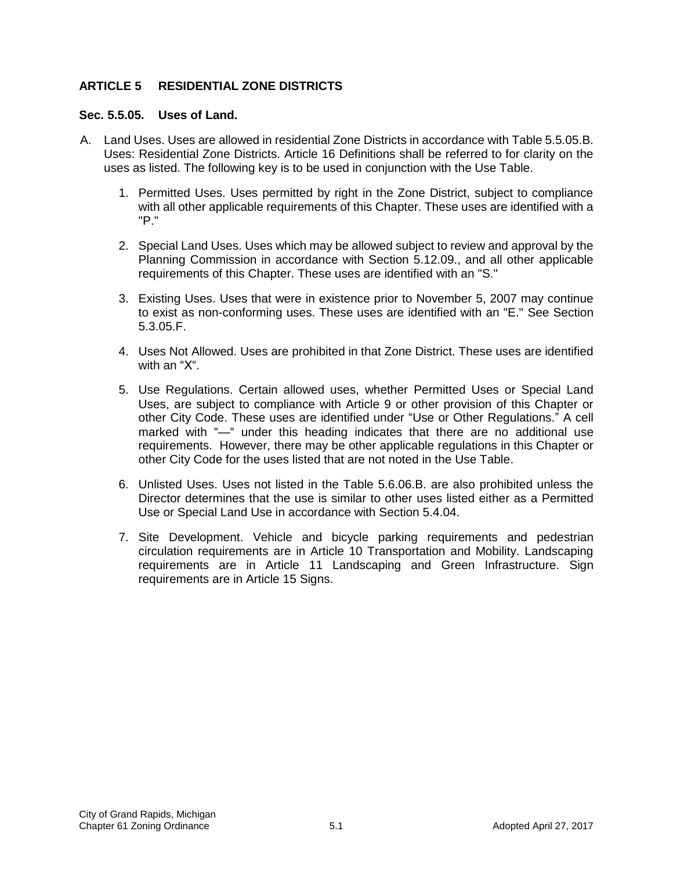## **ARTICLE 5 RESIDENTIAL ZONE DISTRICTS**

#### **Sec. 5.5.05. Uses of Land.**

- A. Land Uses. Uses are allowed in residential Zone Districts in accordance with Table 5.5.05.B. Uses: Residential Zone Districts. Article 16 Definitions shall be referred to for clarity on the uses as listed. The following key is to be used in conjunction with the Use Table.
	- 1. Permitted Uses. Uses permitted by right in the Zone District, subject to compliance with all other applicable requirements of this Chapter. These uses are identified with a "P."
	- 2. Special Land Uses. Uses which may be allowed subject to review and approval by the Planning Commission in accordance with Section 5.12.09., and all other applicable requirements of this Chapter. These uses are identified with an "S."
	- 3. Existing Uses. Uses that were in existence prior to November 5, 2007 may continue to exist as non-conforming uses. These uses are identified with an "E." See Section 5.3.05.F.
	- 4. Uses Not Allowed. Uses are prohibited in that Zone District. These uses are identified with an "X".
	- 5. Use Regulations. Certain allowed uses, whether Permitted Uses or Special Land Uses, are subject to compliance with Article 9 or other provision of this Chapter or other City Code. These uses are identified under "Use or Other Regulations." A cell marked with "—" under this heading indicates that there are no additional use requirements. However, there may be other applicable regulations in this Chapter or other City Code for the uses listed that are not noted in the Use Table.
	- 6. Unlisted Uses. Uses not listed in the Table 5.6.06.B. are also prohibited unless the Director determines that the use is similar to other uses listed either as a Permitted Use or Special Land Use in accordance with Section 5.4.04.
	- 7. Site Development. Vehicle and bicycle parking requirements and pedestrian circulation requirements are in Article 10 Transportation and Mobility. Landscaping requirements are in Article 11 Landscaping and Green Infrastructure. Sign requirements are in Article 15 Signs.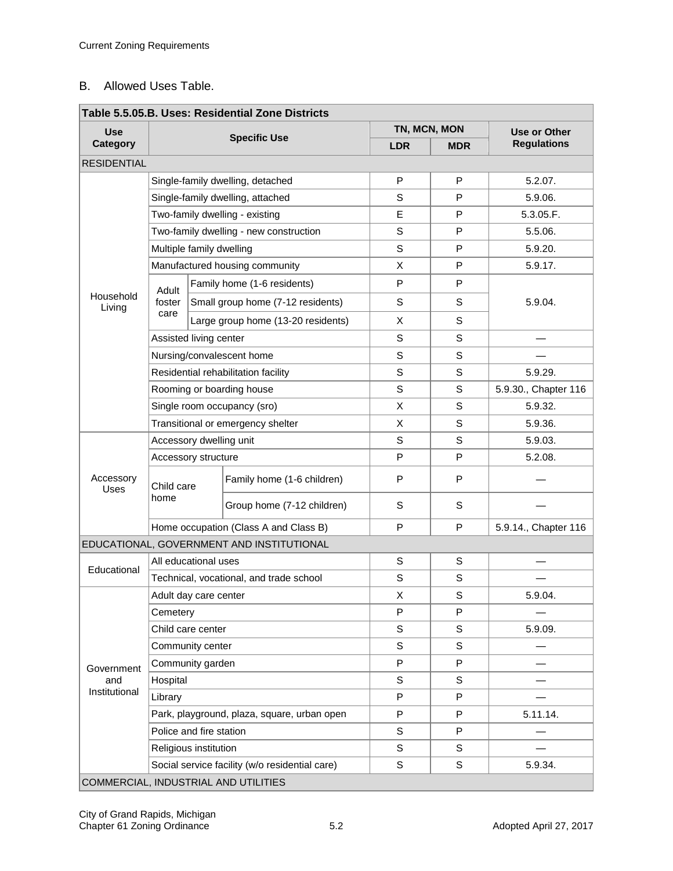### B. Allowed Uses Table.

| Table 5.5.05.B. Uses: Residential Zone Districts |                                         |                                    |                                                |            |                            |                                    |  |  |  |  |  |
|--------------------------------------------------|-----------------------------------------|------------------------------------|------------------------------------------------|------------|----------------------------|------------------------------------|--|--|--|--|--|
| <b>Use</b><br><b>Category</b>                    | <b>Specific Use</b>                     |                                    |                                                | <b>LDR</b> | TN, MCN, MON<br><b>MDR</b> | Use or Other<br><b>Regulations</b> |  |  |  |  |  |
| <b>RESIDENTIAL</b>                               |                                         |                                    |                                                |            |                            |                                    |  |  |  |  |  |
| Household<br>Living                              | Single-family dwelling, detached        |                                    |                                                | P          | P                          | 5.2.07.                            |  |  |  |  |  |
|                                                  |                                         |                                    | Single-family dwelling, attached               | S          | P                          | 5.9.06.                            |  |  |  |  |  |
|                                                  |                                         |                                    | Two-family dwelling - existing                 | Е          | P                          | 5.3.05.F.                          |  |  |  |  |  |
|                                                  |                                         |                                    | Two-family dwelling - new construction         | S          | P                          | 5.5.06.                            |  |  |  |  |  |
|                                                  | Multiple family dwelling                |                                    |                                                | S          | P                          | 5.9.20.                            |  |  |  |  |  |
|                                                  | Manufactured housing community          |                                    |                                                | X          | P                          | 5.9.17.                            |  |  |  |  |  |
|                                                  | Adult<br>foster<br>care                 | Family home (1-6 residents)        |                                                | P          | P                          |                                    |  |  |  |  |  |
|                                                  |                                         | Small group home (7-12 residents)  |                                                | S          | $\mathbb S$                | 5.9.04.                            |  |  |  |  |  |
|                                                  |                                         | Large group home (13-20 residents) |                                                | X          | S                          |                                    |  |  |  |  |  |
|                                                  | Assisted living center                  |                                    |                                                | S          | S                          |                                    |  |  |  |  |  |
|                                                  |                                         |                                    | Nursing/convalescent home                      | S          | $\mathbb S$                |                                    |  |  |  |  |  |
|                                                  | Residential rehabilitation facility     |                                    |                                                | S          | S                          | 5.9.29.                            |  |  |  |  |  |
|                                                  |                                         |                                    | Rooming or boarding house                      | S          | S                          | 5.9.30., Chapter 116               |  |  |  |  |  |
|                                                  |                                         |                                    | Single room occupancy (sro)                    | X          | $\mathsf S$                | 5.9.32.                            |  |  |  |  |  |
|                                                  | Transitional or emergency shelter       |                                    |                                                | X          | S                          | 5.9.36.                            |  |  |  |  |  |
| Accessory<br>Uses                                |                                         | Accessory dwelling unit            |                                                |            | S                          | 5.9.03.                            |  |  |  |  |  |
|                                                  | Accessory structure                     |                                    |                                                | P          | P                          | 5.2.08.                            |  |  |  |  |  |
|                                                  | Child care                              |                                    | Family home (1-6 children)                     | P          | P                          |                                    |  |  |  |  |  |
|                                                  | home                                    |                                    | Group home (7-12 children)                     | S          | $\mathbb S$                |                                    |  |  |  |  |  |
|                                                  | Home occupation (Class A and Class B)   |                                    |                                                | P          | P                          | 5.9.14., Chapter 116               |  |  |  |  |  |
|                                                  |                                         |                                    | EDUCATIONAL, GOVERNMENT AND INSTITUTIONAL      |            |                            |                                    |  |  |  |  |  |
| Educational                                      | All educational uses                    |                                    |                                                | S          | S                          |                                    |  |  |  |  |  |
|                                                  | Technical, vocational, and trade school |                                    |                                                | S          | S                          |                                    |  |  |  |  |  |
| Government<br>and<br>Institutional               | Adult day care center                   |                                    |                                                | X          | S                          | 5.9.04.                            |  |  |  |  |  |
|                                                  | Cemetery                                |                                    |                                                | P          | P                          |                                    |  |  |  |  |  |
|                                                  | Child care center                       |                                    |                                                | S          | $\mathbb S$                | 5.9.09.                            |  |  |  |  |  |
|                                                  | Community center                        |                                    |                                                | S          | S                          |                                    |  |  |  |  |  |
|                                                  | Community garden                        |                                    |                                                | P          | P                          |                                    |  |  |  |  |  |
|                                                  | Hospital                                |                                    |                                                | S          | S                          |                                    |  |  |  |  |  |
|                                                  | Library                                 |                                    |                                                | P          | P                          |                                    |  |  |  |  |  |
|                                                  |                                         |                                    | Park, playground, plaza, square, urban open    | P          | P                          | 5.11.14.                           |  |  |  |  |  |
|                                                  | Police and fire station                 |                                    |                                                | S          | P                          |                                    |  |  |  |  |  |
|                                                  | Religious institution                   |                                    |                                                | S          | $\mathbb S$                |                                    |  |  |  |  |  |
|                                                  |                                         |                                    | Social service facility (w/o residential care) | S          | S                          | 5.9.34.                            |  |  |  |  |  |
| COMMERCIAL, INDUSTRIAL AND UTILITIES             |                                         |                                    |                                                |            |                            |                                    |  |  |  |  |  |

#### **Table 5.5.05.B. Uses: Residential Zone Districts**  e.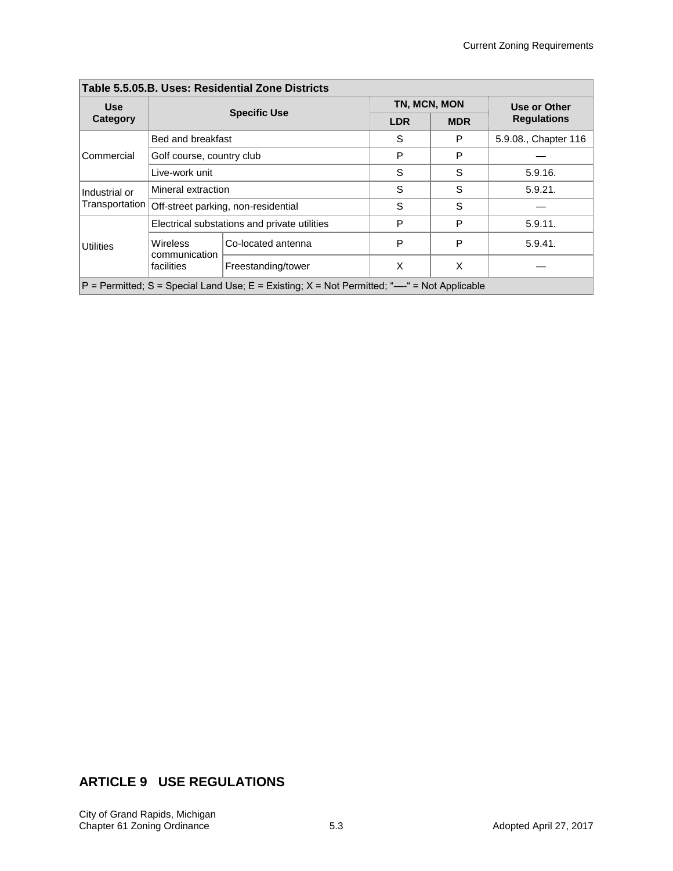$\overline{\phantom{0}}$ 

| Table 5.5.05.B. USes: Residential Zone Districts                                               |                                  |                                              |              |            |                                    |  |  |  |  |  |
|------------------------------------------------------------------------------------------------|----------------------------------|----------------------------------------------|--------------|------------|------------------------------------|--|--|--|--|--|
| <b>Use</b>                                                                                     |                                  | <b>Specific Use</b>                          | TN, MCN, MON |            | Use or Other<br><b>Regulations</b> |  |  |  |  |  |
| Category                                                                                       |                                  |                                              | <b>LDR</b>   | <b>MDR</b> |                                    |  |  |  |  |  |
| Commercial                                                                                     | Bed and breakfast                |                                              | S            | P          | 5.9.08., Chapter 116               |  |  |  |  |  |
|                                                                                                | Golf course, country club        |                                              | P            | P          |                                    |  |  |  |  |  |
|                                                                                                | Live-work unit                   |                                              | S            | S          | 5.9.16.                            |  |  |  |  |  |
| Industrial or<br>Transportation                                                                | Mineral extraction               |                                              | S            | S          | 5.9.21.                            |  |  |  |  |  |
|                                                                                                |                                  | Off-street parking, non-residential          | S            | S          |                                    |  |  |  |  |  |
| <b>Utilities</b>                                                                               |                                  | Electrical substations and private utilities | P            | P          | 5.9.11.                            |  |  |  |  |  |
|                                                                                                | <b>Wireless</b><br>communication | Co-located antenna                           | P            | P          | 5.9.41.                            |  |  |  |  |  |
|                                                                                                | facilities                       | Freestanding/tower                           | X            | X          |                                    |  |  |  |  |  |
| $P =$ Permitted; S = Special Land Use; E = Existing; X = Not Permitted; "---" = Not Applicable |                                  |                                              |              |            |                                    |  |  |  |  |  |

## **Table 5.5.05.B. Uses: Residential Zone Districts**

# **ARTICLE 9 USE REGULATIONS**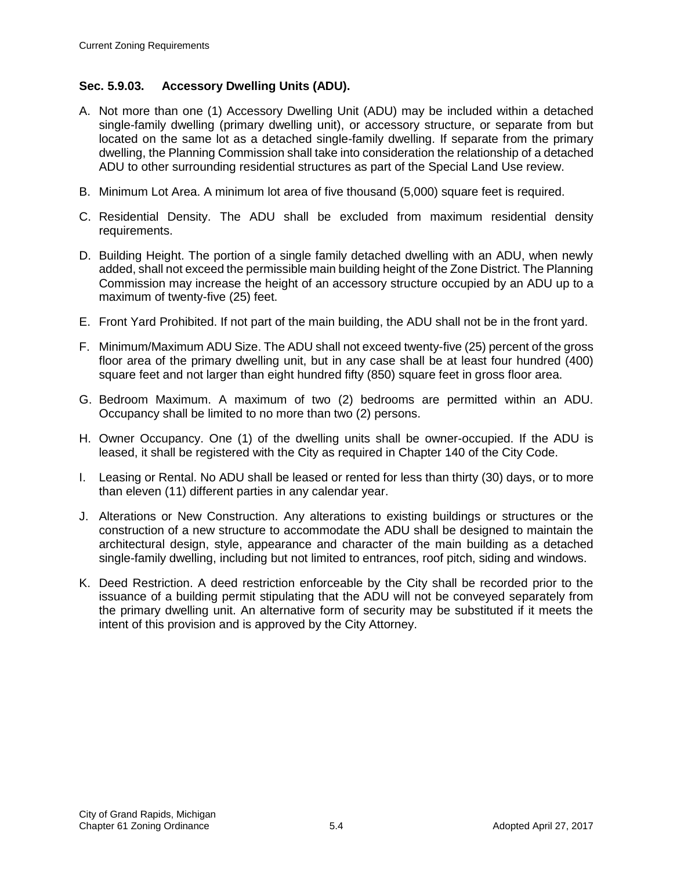## **Sec. 5.9.03. Accessory Dwelling Units (ADU).**

- A. Not more than one (1) Accessory Dwelling Unit (ADU) may be included within a detached single-family dwelling (primary dwelling unit), or accessory structure, or separate from but located on the same lot as a detached single-family dwelling. If separate from the primary dwelling, the Planning Commission shall take into consideration the relationship of a detached ADU to other surrounding residential structures as part of the Special Land Use review.
- B. Minimum Lot Area. A minimum lot area of five thousand (5,000) square feet is required.
- C. Residential Density. The ADU shall be excluded from maximum residential density requirements.
- D. Building Height. The portion of a single family detached dwelling with an ADU, when newly added, shall not exceed the permissible main building height of the Zone District. The Planning Commission may increase the height of an accessory structure occupied by an ADU up to a maximum of twenty-five (25) feet.
- E. Front Yard Prohibited. If not part of the main building, the ADU shall not be in the front yard.
- F. Minimum/Maximum ADU Size. The ADU shall not exceed twenty-five (25) percent of the gross floor area of the primary dwelling unit, but in any case shall be at least four hundred (400) square feet and not larger than eight hundred fifty (850) square feet in gross floor area.
- G. Bedroom Maximum. A maximum of two (2) bedrooms are permitted within an ADU. Occupancy shall be limited to no more than two (2) persons.
- H. Owner Occupancy. One (1) of the dwelling units shall be owner-occupied. If the ADU is leased, it shall be registered with the City as required in Chapter 140 of the City Code.
- I. Leasing or Rental. No ADU shall be leased or rented for less than thirty (30) days, or to more than eleven (11) different parties in any calendar year.
- J. Alterations or New Construction. Any alterations to existing buildings or structures or the construction of a new structure to accommodate the ADU shall be designed to maintain the architectural design, style, appearance and character of the main building as a detached single-family dwelling, including but not limited to entrances, roof pitch, siding and windows.
- K. Deed Restriction. A deed restriction enforceable by the City shall be recorded prior to the issuance of a building permit stipulating that the ADU will not be conveyed separately from the primary dwelling unit. An alternative form of security may be substituted if it meets the intent of this provision and is approved by the City Attorney.